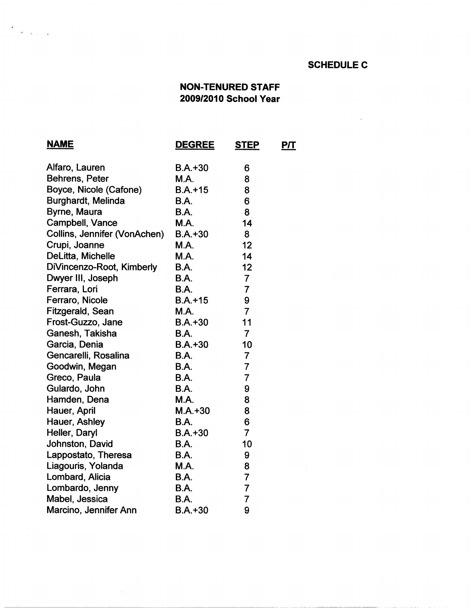## **SCHEDULE C**

## **NON-TENURED STAFF 2009/2010 School Year**

| <u>NAME</u>                  | <b>DEGREE</b> | <b>STEP</b>    | <u>Р/Т</u> |
|------------------------------|---------------|----------------|------------|
| Alfaro, Lauren               | $B.A. + 30$   | 6              |            |
| Behrens, Peter               | <b>M.A.</b>   | 8              |            |
| Boyce, Nicole (Cafone)       | $B.A.+15$     | 8              |            |
| Burghardt, Melinda           | <b>B.A.</b>   | 6              |            |
| Byrne, Maura                 | <b>B.A.</b>   | 8              |            |
| Campbell, Vance              | <b>M.A.</b>   | 14             |            |
| Collins, Jennifer (VonAchen) | $B.A.+30$     | 8              |            |
| Crupi, Joanne                | <b>M.A.</b>   | 12             |            |
| DeLitta, Michelle            | <b>M.A.</b>   | 14             |            |
| DiVincenzo-Root, Kimberly    | B.A.          | 12             |            |
| Dwyer III, Joseph            | <b>B.A.</b>   | $\overline{7}$ |            |
| Ferrara, Lori                | <b>B.A.</b>   | $\overline{7}$ |            |
| Ferraro, Nicole              | $B.A.+15$     | 9              |            |
| Fitzgerald, Sean             | <b>M.A.</b>   | $\overline{7}$ |            |
| Frost-Guzzo, Jane            | $B.A.+30$     | 11             |            |
| Ganesh, Takisha              | <b>B.A.</b>   | $\overline{7}$ |            |
| Garcia, Denia                | $B.A. + 30$   | 10             |            |
| Gencarelli, Rosalina         | <b>B.A.</b>   | $\overline{7}$ |            |
| Goodwin, Megan               | <b>B.A.</b>   | $\overline{7}$ |            |
| Greco, Paula                 | <b>B.A.</b>   | $\overline{7}$ |            |
| Gulardo, John                | B.A.          | 9              |            |
| Hamden, Dena                 | <b>M.A.</b>   | 8              |            |
| Hauer, April                 | $M.A. + 30$   | 8              |            |
| Hauer, Ashley                | <b>B.A.</b>   | 6              |            |
| Heller, Daryl                | $B.A.+30$     | $\overline{7}$ |            |
| Johnston, David              | B.A.          | 10             |            |
| Lappostato, Theresa          | <b>B.A.</b>   | 9              |            |
| Liagouris, Yolanda           | <b>M.A.</b>   | 8              |            |
| Lombard, Alicia              | <b>B.A.</b>   | $\overline{7}$ |            |
| Lombardo, Jenny              | <b>B.A.</b>   | $\overline{7}$ |            |
| Mabel, Jessica               | B.A.          | $\overline{7}$ |            |
| Marcino, Jennifer Ann        | $B.A.+30$     | 9              |            |

 $\sim$